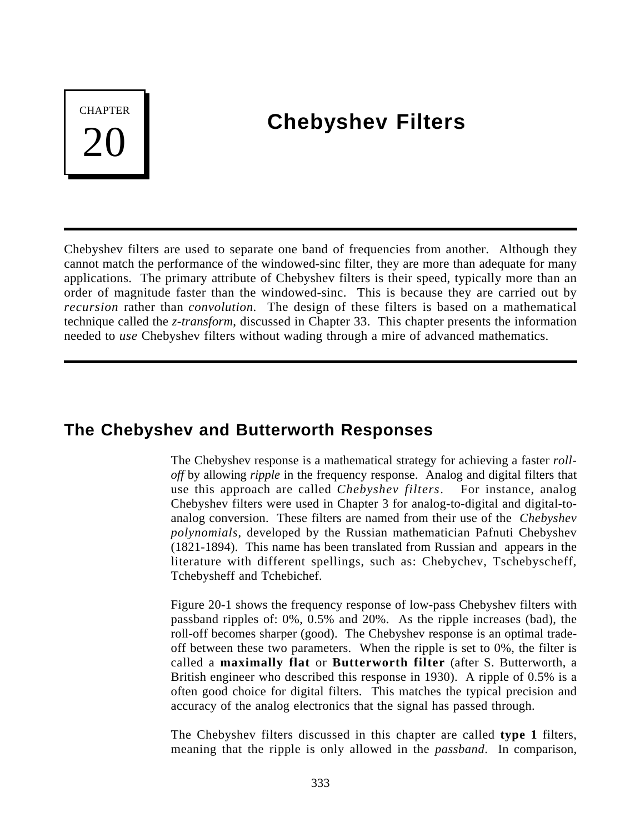# **CHAPTER**

# **Chebyshev Filters**

Chebyshev filters are used to separate one band of frequencies from another. Although they cannot match the performance of the windowed-sinc filter, they are more than adequate for many applications. The primary attribute of Chebyshev filters is their speed, typically more than an order of magnitude faster than the windowed-sinc. This is because they are carried out by *recursion* rather than *convolution.* The design of these filters is based on a mathematical technique called the *z-transform*, discussed in Chapter 33. This chapter presents the information needed to *use* Chebyshev filters without wading through a mire of advanced mathematics.

# **The Chebyshev and Butterworth Responses**

The Chebyshev response is a mathematical strategy for achieving a faster *rolloff* by allowing *ripple* in the frequency response. Analog and digital filters that use this approach are called *Chebyshev filters*. For instance, analog Chebyshev filters were used in Chapter 3 for analog-to-digital and digital-toanalog conversion. These filters are named from their use of the *Chebyshev polynomials*, developed by the Russian mathematician Pafnuti Chebyshev (1821-1894). This name has been translated from Russian and appears in the literature with different spellings, such as: Chebychev, Tschebyscheff, Tchebysheff and Tchebichef.

Figure 20-1 shows the frequency response of low-pass Chebyshev filters with passband ripples of: 0%, 0.5% and 20%. As the ripple increases (bad), the roll-off becomes sharper (good). The Chebyshev response is an optimal tradeoff between these two parameters. When the ripple is set to 0%, the filter is called a **maximally flat** or **Butterworth filter** (after S. Butterworth, a British engineer who described this response in 1930). A ripple of 0.5% is a often good choice for digital filters. This matches the typical precision and accuracy of the analog electronics that the signal has passed through.

The Chebyshev filters discussed in this chapter are called **type 1** filters, meaning that the ripple is only allowed in the *passband*. In comparison,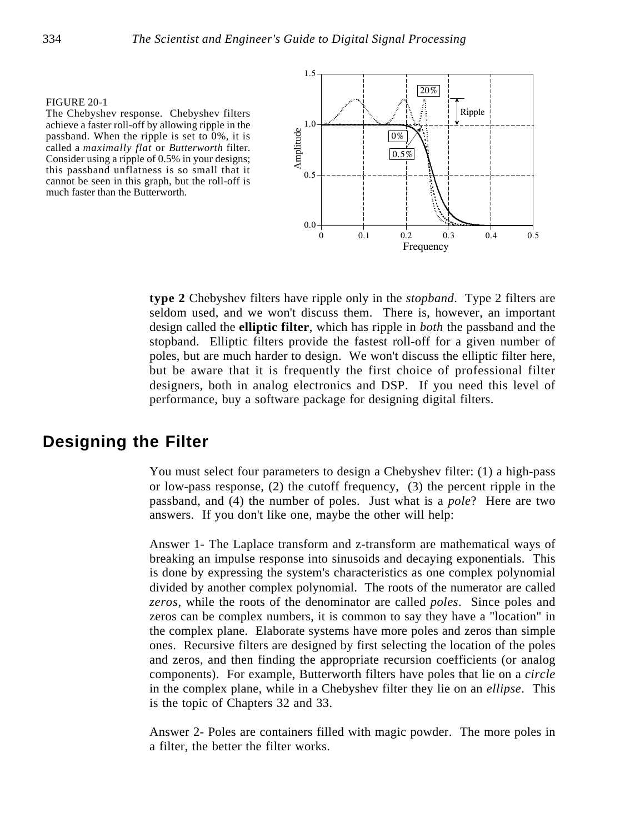### FIGURE 20-1

The Chebyshev response. Chebyshev filters achieve a faster roll-off by allowing ripple in the passband. When the ripple is set to 0%, it is called a *maximally flat* or *Butterworth* filter. Consider using a ripple of 0.5% in your designs; this passband unflatness is so small that it cannot be seen in this graph, but the roll-off is much faster than the Butterworth.



**type 2** Chebyshev filters have ripple only in the *stopband*. Type 2 filters are seldom used, and we won't discuss them. There is, however, an important design called the **elliptic filter**, which has ripple in *both* the passband and the stopband. Elliptic filters provide the fastest roll-off for a given number of poles, but are much harder to design. We won't discuss the elliptic filter here, but be aware that it is frequently the first choice of professional filter designers, both in analog electronics and DSP. If you need this level of performance, buy a software package for designing digital filters.

# **Designing the Filter**

You must select four parameters to design a Chebyshev filter: (1) a high-pass or low-pass response, (2) the cutoff frequency, (3) the percent ripple in the passband, and (4) the number of poles. Just what is a *pole*? Here are two answers. If you don't like one, maybe the other will help:

Answer 1- The Laplace transform and z-transform are mathematical ways of breaking an impulse response into sinusoids and decaying exponentials. This is done by expressing the system's characteristics as one complex polynomial divided by another complex polynomial. The roots of the numerator are called *zeros*, while the roots of the denominator are called *poles*. Since poles and zeros can be complex numbers, it is common to say they have a "location" in the complex plane. Elaborate systems have more poles and zeros than simple ones. Recursive filters are designed by first selecting the location of the poles and zeros, and then finding the appropriate recursion coefficients (or analog components). For example, Butterworth filters have poles that lie on a *circle* in the complex plane, while in a Chebyshev filter they lie on an *ellipse*. This is the topic of Chapters 32 and 33.

Answer 2- Poles are containers filled with magic powder. The more poles in a filter, the better the filter works.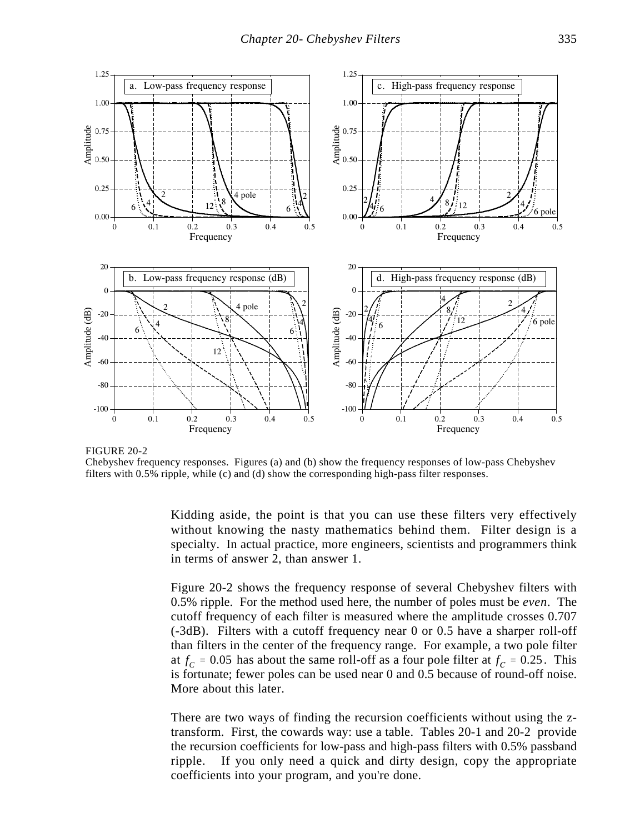

FIGURE 20-2

Chebyshev frequency responses. Figures (a) and (b) show the frequency responses of low-pass Chebyshev

Kidding aside, the point is that you can use these filters very effectively without knowing the nasty mathematics behind them. Filter design is a specialty. In actual practice, more engineers, scientists and programmers think in terms of answer 2, than answer 1.

Figure 20-2 shows the frequency response of several Chebyshev filters with 0.5% ripple. For the method used here, the number of poles must be *even*. The cutoff frequency of each filter is measured where the amplitude crosses 0.707 (-3dB). Filters with a cutoff frequency near 0 or 0.5 have a sharper roll-off than filters in the center of the frequency range. For example, a two pole filter at  $f_C$  = 0.05 has about the same roll-off as a four pole filter at  $f_C$  = 0.25. This is fortunate; fewer poles can be used near 0 and 0.5 because of round-off noise. More about this later.

There are two ways of finding the recursion coefficients without using the ztransform. First, the cowards way: use a table. Tables 20-1 and 20-2 provide the recursion coefficients for low-pass and high-pass filters with 0.5% passband ripple. If you only need a quick and dirty design, copy the appropriate coefficients into your program, and you're done.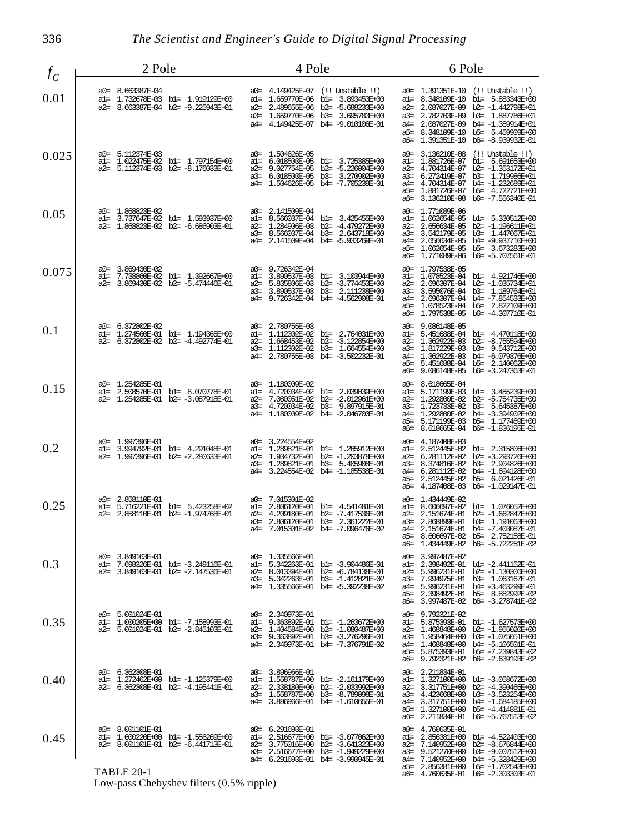336 *The Scientist and Engineer's Guide to Digital Signal Processing*

| $f_C$ | 2 Pole                                                                                                   | 4 Pole                                                                                                                                                                                          | 6 Pole                                                                                                                                                                                                                                                                                                                    |
|-------|----------------------------------------------------------------------------------------------------------|-------------------------------------------------------------------------------------------------------------------------------------------------------------------------------------------------|---------------------------------------------------------------------------------------------------------------------------------------------------------------------------------------------------------------------------------------------------------------------------------------------------------------------------|
| 0.01  | a0= 8.663387E-04<br>al= 1.732678E-03 bl= 1.919129E+00<br>a2= 8.663387E-04 b2= -9.225943E-01              | a0= 4.149425E-07 (!! Unstable !!)<br>al= 1.659770E-06 bl= 3.893453E+00<br>2.489655E-06 b2= -5.688233E+00<br>a2=<br>1.659770E-06 b3= 3.695783E+00<br>a3=<br>a4= 4.149425E-07 b4= -9.010106E-01   | a0= 1.391351E-10 (!! Unstable !!)<br>al= 8.348109E-10 bl= 5.883343E+00<br>2.087027E-09<br>b2= $-1.442798E+01$<br>$a2=$<br>2.782703E-09<br>b3= 1.887786E+01<br>a3=<br>a4= 2.087027E-09<br>b4= -1.389914E+01<br>a5= 8.348109E-10 b5= 5.459909E+00<br>a6= 1.391351E-10 b6= -8.939932E-01                                     |
| 0.025 | a0= 5.112374E-03<br>al= 1.022475E-02 bl= 1.797154E+00<br>a2= 5.112374E-03 b2= -8.176033E-01              | a0= 1.504626E-05<br>b1= 3.725385E+00<br>a1=<br>6.018503E-05<br>$b2 = -5.226004E + 00$<br>a2=<br>9.027754E-05<br>a3= 6.018503E-05<br>b3= 3.270902E+00<br>a4= 1.504626E-05 b4= -7.705239E-01      | 3.136210E-08<br>$(!!$ Unstable $!!)$<br>a0=<br>1.881726E-07<br>b1= 5.691653E+00<br>al=<br>4.704314E-07<br>$b2 = -1.353172E + 01$<br>a2=<br>6.272419E-07<br>b3= 1.719986E+01<br>a3=<br>4.704314E-07<br>b4= $-1.232689E+01$<br>$a4=$<br>1.881726E-07<br>b5= 4.722721E+00<br>a5=<br>3.136210E-08<br>b6= -7.556340E-01<br>аб= |
| 0.05  | a0= 1.868823E-02<br>al= 3.737647E-02 bl= 1.593937E+00<br>a2= 1.868823E-02 b2= -6.686903E-01              | 2.141509E-04<br>a0=<br>8.566037E-04 bl= 3.425455E+00<br>a1=<br>$a2=$<br>1.284906E-03 b2= -4.479272E+00<br>8.566037E-04 b3= 2.643718E+00<br>$a3=$<br>a4= 2.141509E-04 b4= -5.933269E-01          | 1.771089E-06<br>a0=<br>1.062654E-05<br>b1= 5.330512E+00<br>al=<br>2.656634E-05<br>b2= -1.196611E+01<br>$a2=$<br>3.542179E-05<br>b3= 1.447067E+01<br>$a3=$<br>2.656634E-05<br>b4= -9.937710E+00<br>$a4=$<br>1.062654E-05<br>b5= 3.673283E+00<br>a5=<br>1.771089E-06<br>b6= -5.707561E-01<br>аб=                            |
| 0.075 | a0= 3.869430E-02<br>al= 7.738860E-02 bl= 1.392667E+00<br>a2= 3.869430E-02 b2= -5.474446E-01              | a0= 9.726342E-04<br>3.890537E-03 bl= 3.103944E+00<br>al=<br>$a2=$<br>5.835806E-03 b2= -3.774453E+00<br>3.890537E-03 b3= 2.111238E+00<br>a3=<br>a4= 9.726342E-04 b4= -4.562908E-01               | 1.797538E-05<br>a0=<br>1.078523E-04 bl= 4.921746E+00<br>a1=<br>b2= -1.035734E+01<br>2.696307E-04<br>a2=<br>3.595076E-04<br>b3= 1.189764E+01<br>a3=<br>$a4=$<br>2.696307E-04<br>b4= -7.854533E+00<br>1.078523E-04<br>b5= 2.822109E+00<br>a5=<br>1.797538E-05<br>$b6 = -4.307710E - 01$<br>аб=                              |
| 0.1   | a0= 6.372802E-02<br>al= 1.274560E-01 bl= 1.194365E+00<br>a2= 6.372802E-02 b2= -4.492774E-01              | a0= 2.780755E-03<br>a1=<br>1.112302E-02<br>b1= 2.764031E+00<br>$a2=$<br>1.668453E-02<br>b2= -3.122854E+00<br>1.112302E-02<br>b3= 1.664554E+00<br>$a3=$<br>2.780755E-03 b4= -3.502232E-01<br>a4= | 9.086148E-05<br>a0=<br>5.451688E-04<br>bl= 4.470118E+00<br>al=<br>1.362922E-03<br>$b2 = -8.755594E+00$<br>a2=<br>1.817229E-03<br>b3= 9.543712E+00<br>$a3=$<br>1.362922E-03<br>b4= -6.079376E+00<br>$a4=$<br>5.451688E-04<br>b5= 2.140062E+00<br>a5=<br>9.086148E-05<br>$b6 = -3.247363E - 01$<br>аб=                      |
| 0.15  | 1.254285E-01<br>$a0=$<br>2.508570E-01 bl= 8.070778E-01<br>al=<br>$a2=$<br>1.254285E-01 b2= -3.087918E-01 | 1.180009E-02<br>a0=<br>4.720034E-02<br>b1= 2.039039E+00<br>al=<br>7.080051E-02 b2= -2.012961E+00<br>a2=<br>4.720034E-02 b3= 9.897915E-01<br>a3=<br>1.180009E-02 b4= -2.046700E-01<br>a4=        | 8.618665E-04<br>a0=<br>5.171199E-03<br>b1= 3.455239E+00<br>al=<br>1.292800E-02<br>b2= -5.754735E+00<br>a2=<br>b3= 5.645387E+00<br>1.723733E-02<br>a3=<br>b4= -3.394902E+00<br>1.292800E-02<br>a4=<br>5.171199E-03<br>b5= 1.177469E+00<br>a5=<br>8.618665E-04 b6= -1.836195E-01<br>аб=                                     |
| 0.2   | 1.997396E-01<br>$a0=$<br>3.994792E-01 bl= 4.291048E-01<br>al=<br>1.997396E-01 b2= -2.280633E-01<br>$a2=$ | 3.224554E-02<br>a0=<br>1.289821E-01 bl= 1.265912E+00<br>al=<br>1.934732E-01 b2= -1.203878E+00<br>a2=<br>1.289821E-01 b3= 5.405908E-01<br>a3=<br>3.224554E-02 b4= -1.185538E-01<br>a4=           | 4.187408E-03<br>$a0=$<br>2.512445E-02<br>b1= 2.315806E+00<br>al=<br>6.281112E-02<br>$b2 = -3.293726E + 00$<br>a2=<br>b3= 2.904826E+00<br>a3=<br>8.374816E-02<br>6.281112E-02<br>b4= -1.694128E+00<br>$a4=$<br>2.512445E-02<br>b5= 6.021426E-01<br>a5=<br>4.187408E-03 b6= -1.029147E-01<br>аб=                            |
| 0.25  | a0= 2.858110E-01<br>al= 5.716221E-01 bl= 5.423258E-02<br>2.858110E-01 b2= -1.974768E-01<br>$a2=$         | 7.015301E-02<br>a0=<br>2.806120E-01 bl= 4.541481E-01<br>a1=<br>4.209180E-01 b2= -7.417536E-01<br>$a2=$<br>2.806120E-01 b3= 2.361222E-01<br>$a3=$<br>7.015301E-02 b4= -7.096476E-02<br>a4=       | 1.434449E-02<br>a0=<br>8.606697E-02 bl= 1.076052E+00<br>al=<br>2.151674E-01 b2= -1.662847E+00<br>a2=<br>2.868899E-01 b3= 1.191063E+00<br>a3=<br>2.151674E-01 b4= -7.403087E-01<br>$a4=$<br>8.606697E-02 b5= 2.752158E-01<br>a5=<br>1.434449E-02 b6= -5.722251E-02<br>аб=                                                  |
| 0.3   | a0= 3.849163E-01<br>7.698326E-01 bl= -3.249116E-01<br>al=<br>3.849163E-01 b2= -2.147536E-01<br>$a2=$     | a0= 1.335566E-01<br>5.342263E-01 bl= -3.904486E-01<br>a1=<br>8.013394E-01 b2= -6.784138E-01<br>a2=<br>5.342263E-01 b3= -1.412021E-02<br>a3=<br>a4= 1.335566E-01 b4= -5.392238E-02               | 3.997487E-02<br>a0=<br>2.398492E-01 bl= -2.441152E-01<br>al=<br>5.996231E-01 b2= -1.130306E+00<br>a2=<br>7.994975E-01 b3= 1.063167E-01<br>a3=<br>a4= 5.996231E-01 b4= -3.463299E-01<br>a5= 2.398492E-01 b5= 8.882992E-02<br>a6= 3.997487E-02 b6= -3.278741E-02                                                            |
| 0.35  | a0= 5.001024E-01<br>al= 1.000205E+00 bl= -7.158993E-01<br>a2= 5.001024E-01 b2= -2.845103E-01             | a0= 2.340973E-01<br>al= 9.363892E-01 bl= -1.263672E+00<br>a2= 1.404584E+00 b2= -1.080487E+00<br>a3= 9.363892E-01 b3= -3.276296E-01<br>a4= 2.340973E-01 b4= -7.376791E-02                        | a0= 9.792321E-02<br>al= 5.875393E-01 bl= -1.627573E+00<br>a2= 1.468848E+00 b2= -1.955020E+00<br>a3= 1.958464E+00<br>b3= -1.075051E+00<br>a4= 1.468848E+00 b4= -5.106501E-01<br>a5= 5.875393E-01 b5= -7.239843E-02<br>a6= 9.792321E-02 b6= -2.639193E-02                                                                   |
| 0.40  | a0= 6.362308E-01<br>al= 1,272462E+00 bl= -1,125379E+00<br>a2= 6.362308E-01 b2= -4.195441E-01             | a0= 3.896966E-01<br>a1= 1.558787E+00<br>bl= -2.161179E+00<br>a2= 2.338180E+00 b2= -2.033992E+00<br>a3= 1.558787E+00 b3= -8.789098E-01<br>a4= 3.896966E-01 b4= -1.610655E-01                     | a0= 2.211834E-01<br>al= 1.327100E+00 bl= -3.058672E+00<br>a2= 3.317751E+00 b2= -4.390465E+00<br>a3= 4.423668E+00 b3= -3.523254E+00<br>3.317751E+00 b4= -1.684185E+00<br>a4=<br>a5= 1.327100E+00 b5= -4.414881E-01<br>a6= 2.211834E-01 b6= -5.767513E-02                                                                   |
| 0.45  | a0= 8.001101E-01<br>al= 1.600220E+00 bl= -1.556269E+00<br>a2= 8.001101E-01 b2= -6.441713E-01             | a0= 6.291693E-01<br>2.516677E+00 bl= -3.077062E+00<br>al=<br>3.775016E+00 b2= -3.641323E+00<br>a2=<br>a3= 2.516677E+00 b3= -1.949229E+00<br>a4= 6.291693E-01 b4= -3.990945E-01                  | a0= 4.760635E-01<br>2.856381E+00 b1= -4.522403E+00<br>al=<br>7.140952E+00 b2= -8.676844E+00<br>a2=<br>a3= 9.521270E+00 b3= -9.007512E+00<br>a4=                                                                                                                                                                           |
|       | TABLE 20-1<br>Low-pass Chebyshev filters (0.5% ripple)                                                   |                                                                                                                                                                                                 | a5=<br>2.856381E+00 b5= -1.702543E+00<br>a6= 4.760635E-01 b6= -2.303303E-01                                                                                                                                                                                                                                               |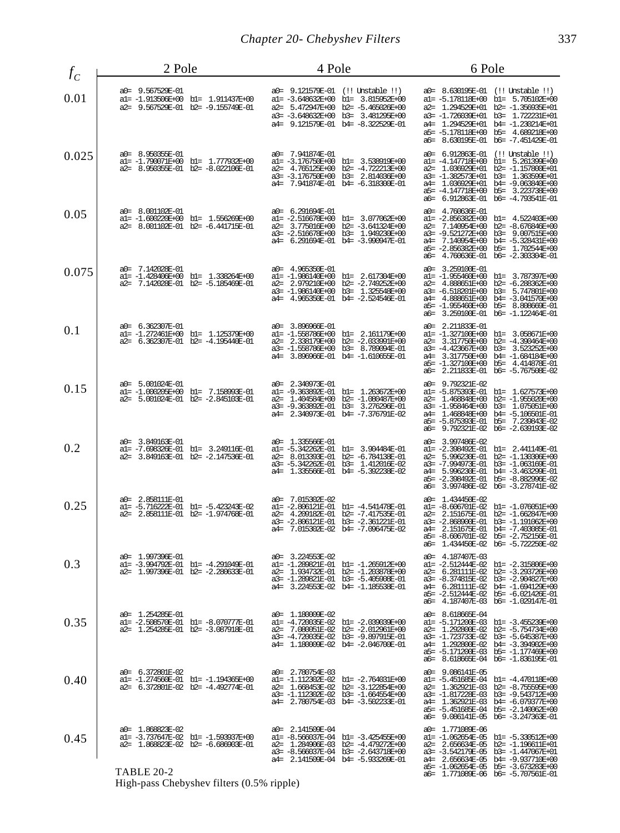| $f_C$ | 2 Pole                                                                                                      | 4 Pole                                                                                                                                                                                         | 6 Pole                                                                                                                                                                                                                                                                             |
|-------|-------------------------------------------------------------------------------------------------------------|------------------------------------------------------------------------------------------------------------------------------------------------------------------------------------------------|------------------------------------------------------------------------------------------------------------------------------------------------------------------------------------------------------------------------------------------------------------------------------------|
| 0.01  | a0= 9.567529E-01<br>al= -1.913506E+00 bl= 1.911437E+00<br>a2= 9.567529E-01 b2= -9.155749E-01                | a0= 9.121579E-01 (!! Unstable !!)<br>al= -3.648632E+00 bl= 3.815952E+00<br>a2= 5.472947E+00 b2= -5.465026E+00<br>a3= -3.648632E+00 b3= 3.481295E+00<br>a4= 9.121579E-01 b4= -8.322529E-01      | a0= 8.630195E-01 (!! Unstable !!)<br>al= -5.178118E+00 bl= 5.705102E+00<br>a2= 1.294529E+01 b2= -1.356935E+01<br>a3= -1.726039E+01 b3= 1.722231E+01<br>a4= 1.294529E+01 b4= -1.230214E+01<br>a5= -5.178118E+00 b5= 4.689218E+00<br>a6= 8.630195E-01 b6= -7.451429E-01              |
| 0.025 | a0= 8.950355E-01<br>al= -1.790071E+00 bl= 1.777932E+00<br>a2= 8.950355E-01 b2= -8.022106E-01                | a0= 7.941874E-01<br>b1= 3.538919E+00<br>$al = -3.176750E+00$<br>a2= 4.765125E+00<br>$b2 = -4.722213E+00$<br>a3= -3.176750E+00 b3= 2.814036E+00<br>a4= 7.941874E-01 b4= -6.318300E-01           | a0= 6.912863E-01<br>(!! Unstable !!)<br>al= -4.147718E+00 bl= 5.261399E+00<br>b2= $-1.157800E+01$<br>a2= 1.036929E+01<br>a3= -1.382573E+01 b3= 1.363599E+01<br>a4= 1.036929E+01 b4= -9.063840E+00<br>a5= -4.147718E+00 b5= 3.223738E+00<br>a6= 6.912863E-01 b6= -4.793541E-01      |
| 0.05  | a0= 8.001102E-01<br>al= -1.600220E+00 bl= 1.556269E+00<br>a2= 8.001102E-01 b2= -6.441715E-01                | a0= 6.291694E-01<br>a1= -2.516678E+00<br>b1= 3.077062E+00<br>a2= 3.775016E+00<br>b2= -3.641324E+00<br>a3= -2.516678E+00 b3= 1.949230E+00<br>a4= 6.291694E-01 b4= -3.990947E-01                 | a0= 4.760636E-01<br>$a1 = -2.856382E + 00$<br>b1= 4.522403E+00<br>a2= 7.140954E+00<br>$b2 = -8.676846E + 00$<br>a3= -9.521272E+00<br>b3= 9.007515E+00<br>a4= 7.140954E+00<br>b4= -5.328431E+00<br>b5= 1.702544E+00<br>a5= -2.856382E+00<br>a6= 4.760636E-01 b6= -2.303304E-01      |
| 0.075 | a0= 7.142028E-01<br>al= -1.428406E+00 bl= 1.338264E+00<br>a2= 7.142028E-01 b2= -5.185469E-01                | a0= 4.965350E-01<br>a1= -1.986140E+00<br>bl= 2.617304E+00<br>b2= -2.749252E+00<br>a2= 2.979210E+00<br>a3= $-1.986140E+00$<br>b3= 1.325548E+00<br>a4= 4.965350E-01 b4= -2.524546E-01            | a0= 3.259100E-01<br>al= -1.955460E+00 bl= 3.787397E+00<br>b2= -6.288362E+00<br>a2= 4.888651E+00<br>a3= -6.518201E+00<br>b3= 5.747801E+00<br>b4= -3.041570E+00<br>a4=<br>4.888651E+00<br>a5= $-1.955460E+00$<br>b5= 8.808669E-01<br>3.259100E-01<br>$b6 = -1.122464E - 01$<br>аб=   |
| 0.1   | a0= 6.362307E-01<br>al= -1.272461E+00 bl= 1.125379E+00<br>a2= 6.362307E-01 b2= -4.195440E-01                | a0= 3.896966E-01<br>a1= -1.558786E+00<br>b1= 2.161179E+00<br>a2=<br>2.338179E+00<br>b2= -2.033991E+00<br>a3= $-1.558786E+00$<br>b3= 8.789094E-01<br>a4= 3.896966E-01 b4= -1.610655E-01         | a0= 2.211833E-01<br>a1= -1.327100E+00<br>b1= 3.058671E+00<br>$b2 = -4.390464E + 00$<br>a2= 3.317750E+00<br>a3= -4.423667E+00<br>b3= 3.523252E+00<br>3.317750E+00<br>b4= -1.684184E+00<br>a4=<br>a5= $-1.327100E+00$<br>b5= 4.414878E-01<br>a6= 2.211833E-01 b6= -5.767508E-02      |
| 0.15  | a0= 5.001024E-01<br>al= -1.000205E+00 bl= 7.158993E-01<br>a2= 5.001024E-01 b2= -2.845103E-01                | a0= 2.340973E-01<br>al= -9.363892E-01<br>bl= 1.263672E+00<br>a2= 1.404584E+00 b2= -1.080487E+00<br>a3= -9.363892E-01 b3= 3.276296E-01<br>a4= 2.340973E-01 b4= -7.376791E-02                    | a0= 9.792321E-02<br>a1= -5.875393E-01<br>b1= 1.627573E+00<br>1.468848E+00<br>$b2 = -1.955020E + 00$<br>$a2=$<br>b3= 1.075051E+00<br>a3= $-1.958464E+00$<br>b4= -5.106501E-01<br>a4= 1.468848E+00<br>b5= 7.239843E-02<br>a5= -5.875393E-01<br>a6= 9.792321E-02<br>b6= -2.639193E-02 |
| 0.2   | a0= 3.849163E-01<br>al= -7.698326E-01 bl= 3.249116E-01<br>a2= 3.849163E-01 b2= -2.147536E-01                | a0= 1.335566E-01<br>a1= -5.342262E-01<br>b1= 3.904484E-01<br>a2= 8.013393E-01<br>b2= -6.784138E-01<br>a3= -5.342262E-01 b3= 1.412016E-02<br>a4= 1.335566E-01 b4= -5.392238E-02                 | a0= 3.997486E-02<br>al= -2.398492E-01<br>b1= 2.441149E-01<br>a2= 5.996230E-01 b2= -1.130306E+00<br>b3= -1.063169E-01<br>a3= -7.994973E-01<br>a4= 5.996230E-01<br>$b4 = -3.463299E - 01$<br>a5= -2.398492E-01 b5= -8.882996E-02<br>a6= 3.997486E-02 b6= -3.278741E-02               |
| 0.25  | a0= 2.858111E-01<br>al= -5.716222E-01 bl= -5.423243E-02<br>a2= 2.858111E-01 b2= -1.974768E-01               | a0= 7.015302E-02<br>al= -2.806121E-01 bl= -4.541478E-01<br>4.209182E-01 b2= -7.417535E-01<br>a2=<br>a3= -2.806121E-01 b3= -2.361221E-01<br>a4= 7.015302E-02 b4= -7.096475E-02                  | a0= 1.434450E-02<br>al= -8.606701E-02 bl= -1.076051E+00<br>a2= 2.151675E-01 b2= -1.662847E+00<br>a3= -2.868900E-01 b3= -1.191062E+00<br>a4= 2.151675E-01 b4= -7.403085E-01<br>a5= -8.606701E-02 b5= -2.752156E-01<br>a6= 1.434450E-02 b6= -5.722250E-02                            |
| 0.3   | a0= 1.997396E-01<br>al= -3.994792E-01 bl= -4.291049E-01<br>a2= 1.997396E-01 b2= -2.280633E-01               | a0= 3.224553E-02<br>al= -1.289821E-01 bl= -1.265912E+00<br>a2= 1.934732E-01 b2= -1.203878E+00<br>a3= -1.289821E-01 b3= -5.405908E-01<br>a4= 3.224553E-02 b4= -1.185538E-01                     | a0= 4.187407E-03<br>al= -2.512444E-02 bl= -2.315806E+00<br>a2= 6.281111E-02 b2= -3.293726E+00<br>a3= -8.374815E-02 b3= -2.904827E+00<br>a4= 6.281111E-02 b4= -1.694129E+00<br>a5= -2.512444E-02 b5= -6.021426E-01<br>a6= 4.187407E-03 b6= -1.029147E-01                            |
| 0.35  | a0= 1.254285E-01<br>al= -2.508570E-01 bl= -8.070777E-01<br>a2= 1.254285E-01 b2= -3.087918E-01               | a0= 1.180009E-02<br>$al = -4.720035E-02$ $bl = -2.039039E+00$<br>a2= 7.080051E-02 b2= -2.012961E+00<br>a3= -4.720035E-02 b3= -9.897915E-01<br>a4= 1.180009E-02 b4= -2.046700E-01               | a0= 8.618665E-04<br>al= -5.171200E-03 bl= -3.455239E+00<br>a2= 1.292800E-02 b2= -5.754734E+00<br>a3= -1.723733E-02 b3= -5.645387E+00<br>a4= 1.292800E-02 b4= -3.394902E+00<br>a5= -5.171200E-03 b5= -1.177469E+00<br>a6= 8.618665E-04 b6= -1.836195E-01                            |
| 0.40  | a0= 6.372801E-02<br>al= -1.274560E-01 bl= -1.194365E+00<br>a2= 6.372801E-02 b2= -4.492774E-01               | a0= 2.780754E-03<br>al= -1.112302E-02 bl= -2.764031E+00<br>a2= 1.668453E-02 b2= -3.122854E+00<br>a3= -1.112302E-02 b3= -1.664554E+00<br>a4= 2.780754E-03 b4= -3.502233E-01                     | a0= 9.086141E-05<br>$al = -5.451685E-04$ $bl = -4.470118E+00$<br>a2= 1.362921E-03 b2= -8.755595E+00<br>a3= -1.817228E-03 b3= -9.543712E+00<br>a4= 1.362921E-03 b4= -6.079377E+00<br>a5= -5.451685E-04 b5= -2.140062E+00<br>a6= 9.086141E-05 b6= -3.247363E-01                      |
| 0.45  | a0= 1.868823E-02<br>al= -3.737647E-02 bl= -1.593937E+00<br>a2= 1.868823E-02 b2= -6.686903E-01<br>TABLE 20-2 | a0= 2.141509E-04<br>$al = -8.566037E - 04$ $bl = -3.425455E + 00$<br>a2= 1.284906E-03 b2= -4.479272E+00<br>$a3 = -8.566037E - 04$ $b3 = -2.643718E + 00$<br>a4= 2.141509E-04 b4= -5.933269E-01 | a0= 1.771089E-06<br>al= -1.062654E-05 bl= -5.330512E+00<br>a2= 2.656634E-05 b2= -1.196611E+01<br>a3= -3.542179E-05 b3= -1.447067E+01<br>a4= 2.656634E-05 b4= -9.937710E+00<br>$a5 = -1.062654E - 05$ $b5 = -3.673283E + 00$<br>a6= 1.771089E-06 b6= -5.707561E-01                  |

High-pass Chebyshev filters (0.5% ripple)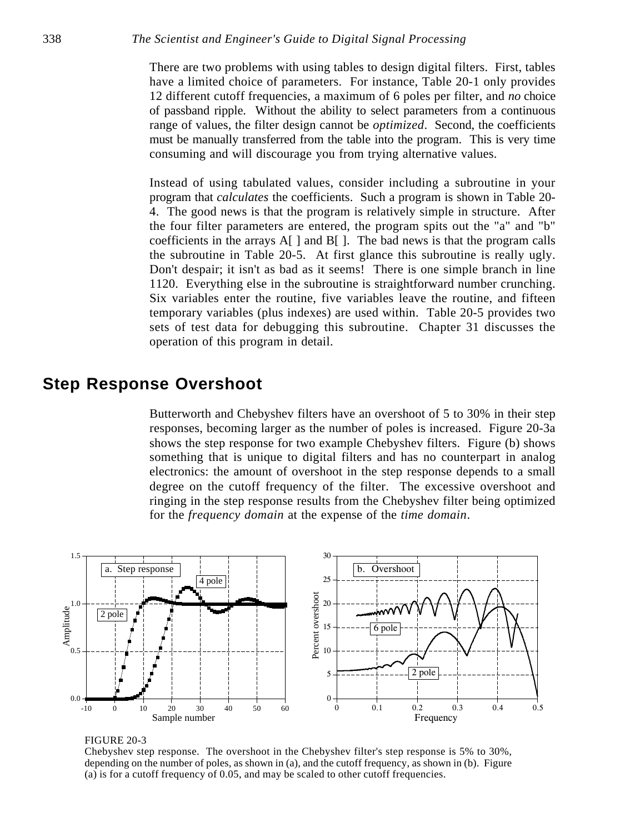There are two problems with using tables to design digital filters. First, tables have a limited choice of parameters. For instance, Table 20-1 only provides 12 different cutoff frequencies, a maximum of 6 poles per filter, and *no* choice of passband ripple. Without the ability to select parameters from a continuous range of values, the filter design cannot be *optimized*. Second, the coefficients must be manually transferred from the table into the program. This is very time consuming and will discourage you from trying alternative values.

Instead of using tabulated values, consider including a subroutine in your program that *calculates* the coefficients. Such a program is shown in Table 20- 4. The good news is that the program is relatively simple in structure. After the four filter parameters are entered, the program spits out the "a" and "b" coefficients in the arrays  $A[\ ]$  and  $B[\ ]$ . The bad news is that the program calls the subroutine in Table 20-5. At first glance this subroutine is really ugly. Don't despair; it isn't as bad as it seems! There is one simple branch in line 1120. Everything else in the subroutine is straightforward number crunching. Six variables enter the routine, five variables leave the routine, and fifteen temporary variables (plus indexes) are used within. Table 20-5 provides two sets of test data for debugging this subroutine. Chapter 31 discusses the operation of this program in detail.

# **Step Response Overshoot**

Butterworth and Chebyshev filters have an overshoot of 5 to 30% in their step responses, becoming larger as the number of poles is increased. Figure 20-3a shows the step response for two example Chebyshev filters. Figure (b) shows something that is unique to digital filters and has no counterpart in analog electronics: the amount of overshoot in the step response depends to a small degree on the cutoff frequency of the filter. The excessive overshoot and ringing in the step response results from the Chebyshev filter being optimized for the *frequency domain* at the expense of the *time domain*.



### FIGURE 20-3

Chebyshev step response. The overshoot in the Chebyshev filter's step response is 5% to 30%, depending on the number of poles, as shown in (a), and the cutoff frequency, as shown in (b). Figure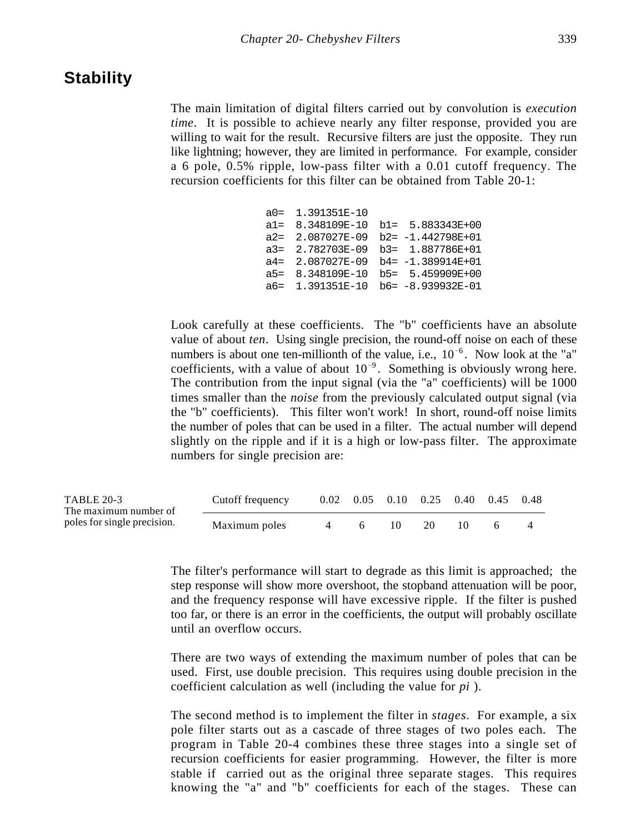## **Stability**

The main limitation of digital filters carried out by convolution is *execution time*. It is possible to achieve nearly any filter response, provided you are willing to wait for the result. Recursive filters are just the opposite. They run like lightning; however, they are limited in performance. For example, consider a 6 pole, 0.5% ripple, low-pass filter with a 0.01 cutoff frequency. The recursion coefficients for this filter can be obtained from Table 20-1:

| $a0 = 1.391351E-10$ |                                          |
|---------------------|------------------------------------------|
|                     | $a1 = 8.348109E-10 b1 = 5.883343E+00$    |
|                     | $a2 = 2.087027E-09$ $b2 = -1.442798E+01$ |
|                     | $a3 = 2.782703E-09$ $b3 = 1.887786E+01$  |
|                     | $a4 = 2.087027E-09$ $b4 = -1.389914E+01$ |
|                     | a5= 8.348109E-10 b5= 5.459909E+00        |
|                     | a6= 1.391351E-10 b6= -8.939932E-01       |

Look carefully at these coefficients. The "b" coefficients have an absolute value of about *ten*. Using single precision, the round-off noise on each of these numbers is about one ten-millionth of the value, i.e.,  $10^{-6}$ . Now look at the "a" coefficients, with a value of about  $10^{-9}$ . Something is obviously wrong here. The contribution from the input signal (via the "a" coefficients) will be 1000 times smaller than the *noise* from the previously calculated output signal (via the "b" coefficients). This filter won't work! In short, round-off noise limits the number of poles that can be used in a filter. The actual number will depend slightly on the ripple and if it is a high or low-pass filter. The approximate numbers for single precision are:

| <b>TABLE 20-3</b><br>The maximum number of | Cutoff frequency |  | $0.02 \quad 0.05 \quad 0.10 \quad 0.25 \quad 0.40 \quad 0.45 \quad 0.48$ |  |  |
|--------------------------------------------|------------------|--|--------------------------------------------------------------------------|--|--|
| poles for single precision.                | Maximum poles    |  |                                                                          |  |  |

The filter's performance will start to degrade as this limit is approached; the step response will show more overshoot, the stopband attenuation will be poor, and the frequency response will have excessive ripple. If the filter is pushed too far, or there is an error in the coefficients, the output will probably oscillate until an overflow occurs.

There are two ways of extending the maximum number of poles that can be used. First, use double precision. This requires using double precision in the coefficient calculation as well (including the value for *pi* ).

The second method is to implement the filter in *stages*. For example, a six pole filter starts out as a cascade of three stages of two poles each. The program in Table 20-4 combines these three stages into a single set of recursion coefficients for easier programming. However, the filter is more stable if carried out as the original three separate stages. This requires knowing the "a" and "b" coefficients for each of the stages. These can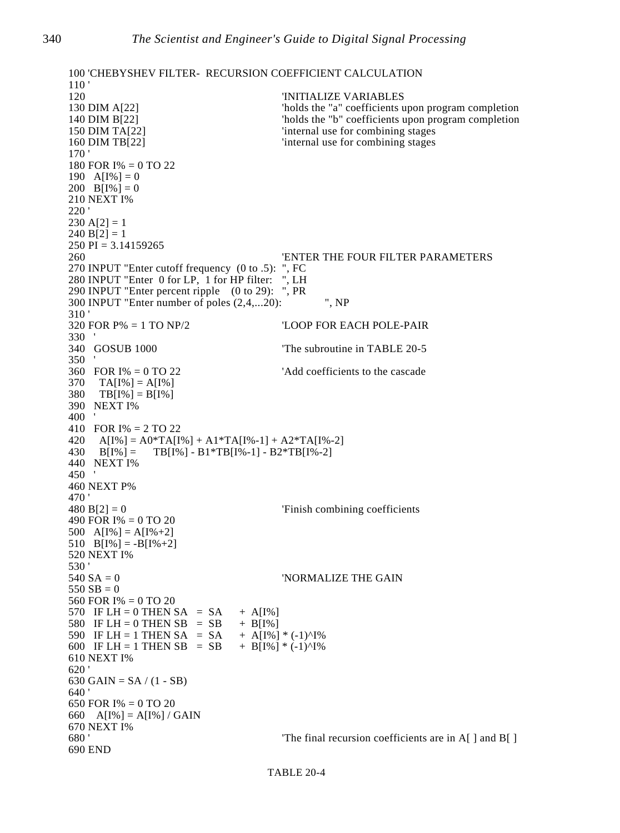```
100 'CHEBYSHEV FILTER- RECURSION COEFFICIENT CALCULATION
\frac{110}{120}'INITIALIZE VARIABLES
130 DIM A[22] 'holds the "a" coefficients upon program completion
140 DIM B[22] \blacksquare 'holds the "b" coefficients upon program completion
150 DIM TA[22] <sup>'internal use for combining stages</sup>
160 DIM TB[22] <sup>'internal use for combining stages</sup>
170 '
180 FOR I% = 0 TO 22
190 A[I\%] = 0200 B[I\%] = 0210 NEXT I%
220 '
230 A[2] = 1240 B[2] = 1250 PI = 3.14159265
260 'ENTER THE FOUR FILTER PARAMETERS
270 INPUT "Enter cutoff frequency (0 to .5): ", FC
280 INPUT "Enter 0 for LP, 1 for HP filter: ", LH
290 INPUT "Enter percent ripple (0 to 29): ", PR
300 INPUT "Enter number of poles (2,4,...20): ", NP
310 '<br>320 FOR P% = 1 TO NP/2
                                      'LOOP FOR EACH POLE-PAIR
330 '
340 GOSUB 1000   The subroutine in TABLE 20-5
350 '<br>360 FOR I% = 0 TO 22
                                      'Add coefficients to the cascade
370 TA[I\%] = A[I\%]380 TB[I%] = B[I%]
390 NEXT I%
400 '
410 FOR I% = 2 TO 22
420 A[I%] = A0*TA[I%] + A1*TA[I%-1] + A2*TA[I%-2]
430 \text{ B}[1\%] = \text{TB}[1\%] - \text{B1*TB}[1\% - 1] - \text{B2*TB}[1\% - 2]440 NEXT I%
450 '
460 NEXT P%
470 '
480 B[2] = 0 'Finish combining coefficients
490 FOR I% = 0 TO 20
500 A[I%] = A[I%+2]
510 B[I\%] = -B[I\% + 2]520 NEXT I%
530 '<br>540 SA = 0
                                      'NORMALIZE THE GAIN
550 SB = 0560 FOR I% = 0 TO 20
570 IF LH = 0 THEN SA = SA + A[I\%]580 IF LH = 0 THEN SB = SB + B[I%]
590 IF LH = 1 THEN SA = SA + A[I%] * (-1)^I%<br>600 IF LH = 1 THEN SB = SB + B[I%] * (-1)^I%
600 IF LH = 1 THEN SB = SB610 NEXT I%
620 '
630 GAIN = SA / (1 - SB)640 '
650 FOR I% = 0 TO 20
660 A[I%] = A[I%] / GAIN
670 NEXT I%
680 ' The final recursion coefficients are in A[] and B[]
690 END
```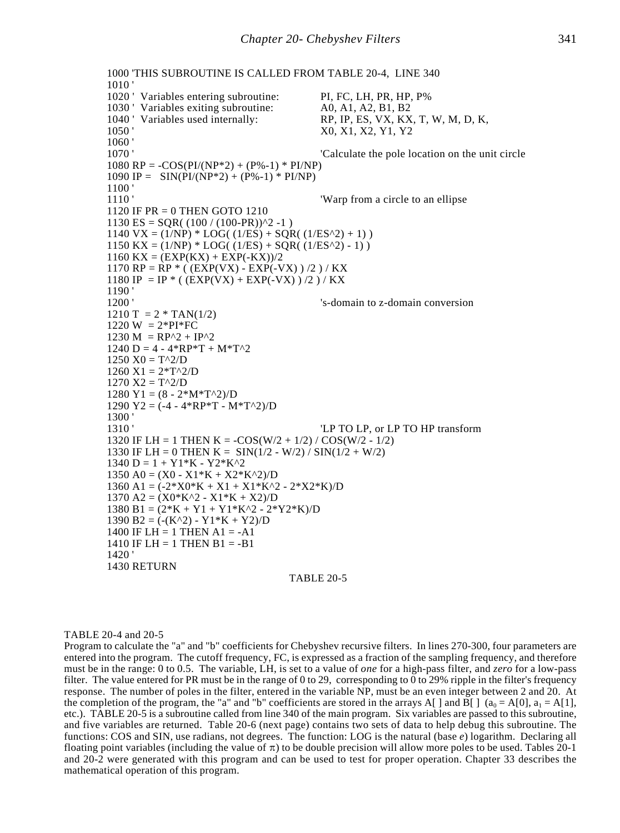```
1000 'THIS SUBROUTINE IS CALLED FROM TABLE 20-4, LINE 340
1010 '
1020 ' Variables entering subroutine: PI, FC, LH, PR, HP, P%
1030 ' Variables exiting subroutine: A0, A1, A2, B1, B2<br>1040 ' Variables used internally: RP, IP, ES, VX, KX
                                                 RP, IP, ES, VX, KX, T, W, M, D, K,
1050 ' X0, X1, X2, Y1, Y2
1060 '<br>1070 '
                                                 'Calculate the pole location on the unit circle
1080 \text{ RP} = -\text{COS}(\text{PI}/(\text{NP}^*2) + (\text{P}\% - 1) * \text{PI}/\text{NP})1090 IP = \text{SIN}(\text{PI}/(\text{NP*2}) + (\text{P}\% - 1) * \text{PI}/\text{NP})1100<br>1110 '
                                                 'Warp from a circle to an ellipse
1120 IF PR = 0 THEN GOTO 1210
1130 ES = SQR( (100 / (100-PR))<sup>2</sup> -1)
1140 \text{ VX} = (1/\text{NP}) * LOG((1/\text{ES}) + SQR((1/\text{ES}^2) + 1))1150 KX = (1/NP) * LOG( (1/ES) + SQR( (1/ES^2) - 1))
1160 KX = (EXP(KX) + EXP(-KX))/21170 RP = RP * ( (EXP(VX) - EXP(-VX) ) /2 ) / KX
1180 IP = IP *( (EXP(VX) + EXP(-VX))/2)/KX
1190 '
1200 ' 's-domain to z-domain conversion
1210 \text{ T} = 2 * \text{TAN}(1/2)1220 W = 2*PI*FC1230 M = RP^2 + IP^21240 D = 4 - 4*RP*T + M*T^21250 X0 = T^2/D1260 \text{ X1} = 2 \cdot \text{T}^2/ \text{D}1270 X2 = T^2/D1280 \text{ Y1} = (8 - 2 * \text{M} * \text{T}^2)/\text{D}1290 Y2 = (-4 - 4*RP*T - M*T^2)/D\frac{1300}{1310}'LP TO LP, or LP TO HP transform
1320 IF LH = 1 THEN K = -COS(W/2 + 1/2) / COS(W/2 - 1/2)1330 IF LH = 0 THEN K = SIN(1/2 - W/2) / SIN(1/2 + W/2)1340 \text{ D} = 1 + \text{Y}1^* \text{K} - \text{Y}2^* \text{K}^21350 \text{ A}0 = (X0 - X1*K + X2*K^2)/D1360 \text{ A}1 = (-2^*X0^*K + X1 + X1^*K^2 - 2^*X2^*K)/D1370 \text{ A}2 = (X0*K^2 - X1*K + X2)/D1380 B1 = (2*K + Y1 + Y1*K^2 - 2*Y2*K)1390 B2 = (-(K^2) - Y1*K + Y2)/D1400 IF LH = 1 THEN A1 = -A11410 IF LH = 1 THEN B1 = -B11420 '
1430 RETURN
                                           TABLE 20-5
```
### TABLE 20-4 and 20-5

Program to calculate the "a" and "b" coefficients for Chebyshev recursive filters. In lines 270-300, four parameters are entered into the program. The cutoff frequency, FC, is expressed as a fraction of the sampling frequency, and therefore must be in the range: 0 to 0.5. The variable, LH, is set to a value of *one* for a high-pass filter, and *zero* for a low-pass filter. The value entered for PR must be in the range of 0 to 29, corresponding to 0 to 29% ripple in the filter's frequency response. The number of poles in the filter, entered in the variable NP, must be an even integer between 2 and 20. At the completion of the program, the "a" and "b" coefficients are stored in the arrays A[ ] and B[ ] ( $a_0 = A[0]$ ,  $a_1 = A[1]$ , etc.). TABLE 20-5 is a subroutine called from line 340 of the main program. Six variables are passed to this subroutine, and five variables are returned. Table 20-6 (next page) contains two sets of data to help debug this subroutine. The functions: COS and SIN, use radians, not degrees. The function: LOG is the natural (base *e*) logarithm. Declaring all floating point variables (including the value of  $\pi$ ) to be double precision will allow more poles to be used. Tables 20-1 and 20-2 were generated with this program and can be used to test for proper operation. Chapter 33 describes the mathematical operation of this program.